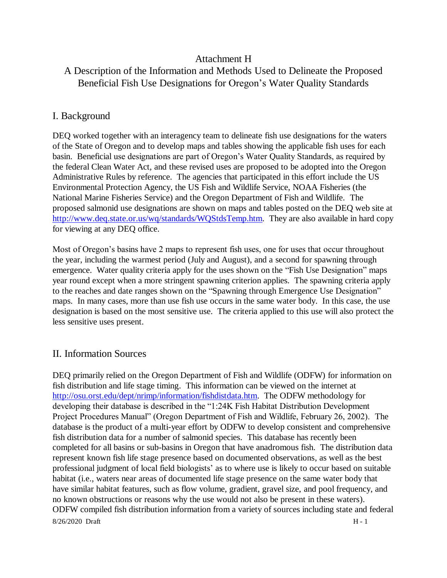## Attachment H

# A Description of the Information and Methods Used to Delineate the Proposed Beneficial Fish Use Designations for Oregon's Water Quality Standards

### I. Background

DEQ worked together with an interagency team to delineate fish use designations for the waters of the State of Oregon and to develop maps and tables showing the applicable fish uses for each basin. Beneficial use designations are part of Oregon's Water Quality Standards, as required by the federal Clean Water Act, and these revised uses are proposed to be adopted into the Oregon Administrative Rules by reference. The agencies that participated in this effort include the US Environmental Protection Agency, the US Fish and Wildlife Service, NOAA Fisheries (the National Marine Fisheries Service) and the Oregon Department of Fish and Wildlife. The proposed salmonid use designations are shown on maps and tables posted on the DEQ web site at http://www.deq.state.or.us/wq/standards/WOStdsTemp.htm. They are also available in hard copy for viewing at any DEQ office.

Most of Oregon's basins have 2 maps to represent fish uses, one for uses that occur throughout the year, including the warmest period (July and August), and a second for spawning through emergence. Water quality criteria apply for the uses shown on the "Fish Use Designation" maps year round except when a more stringent spawning criterion applies. The spawning criteria apply to the reaches and date ranges shown on the "Spawning through Emergence Use Designation" maps. In many cases, more than use fish use occurs in the same water body. In this case, the use designation is based on the most sensitive use. The criteria applied to this use will also protect the less sensitive uses present.

### II. Information Sources

 $8/26/2020$  Draft H - 1 DEQ primarily relied on the Oregon Department of Fish and Wildlife (ODFW) for information on fish distribution and life stage timing. This information can be viewed on the internet at http://osu.orst.edu/dept/nrimp/information/fishdistdata.htm. The ODFW methodology for developing their database is described in the "1:24K Fish Habitat Distribution Development Project Procedures Manual" (Oregon Department of Fish and Wildlife, February 26, 2002). The database is the product of a multi-year effort by ODFW to develop consistent and comprehensive fish distribution data for a number of salmonid species. This database has recently been completed for all basins or sub-basins in Oregon that have anadromous fish. The distribution data represent known fish life stage presence based on documented observations, as well as the best professional judgment of local field biologists' as to where use is likely to occur based on suitable habitat (i.e., waters near areas of documented life stage presence on the same water body that have similar habitat features, such as flow volume, gradient, gravel size, and pool frequency, and no known obstructions or reasons why the use would not also be present in these waters). ODFW compiled fish distribution information from a variety of sources including state and federal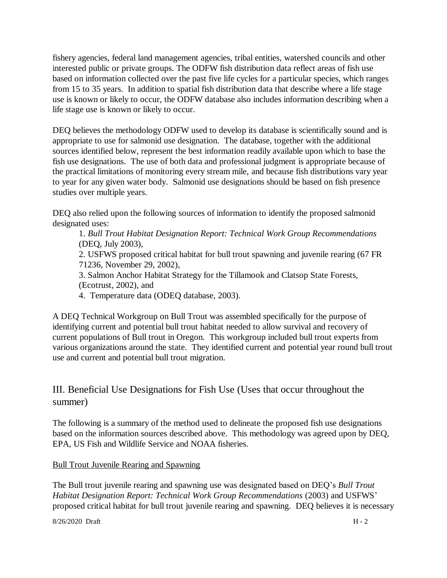fishery agencies, federal land management agencies, tribal entities, watershed councils and other interested public or private groups. The ODFW fish distribution data reflect areas of fish use based on information collected over the past five life cycles for a particular species, which ranges from 15 to 35 years. In addition to spatial fish distribution data that describe where a life stage use is known or likely to occur, the ODFW database also includes information describing when a life stage use is known or likely to occur.

DEQ believes the methodology ODFW used to develop its database is scientifically sound and is appropriate to use for salmonid use designation. The database, together with the additional sources identified below, represent the best information readily available upon which to base the fish use designations. The use of both data and professional judgment is appropriate because of the practical limitations of monitoring every stream mile, and because fish distributions vary year to year for any given water body. Salmonid use designations should be based on fish presence studies over multiple years.

DEQ also relied upon the following sources of information to identify the proposed salmonid designated uses:

1. *Bull Trout Habitat Designation Report: Technical Work Group Recommendations* (DEQ, July 2003),

2*.* USFWS proposed critical habitat for bull trout spawning and juvenile rearing (67 FR 71236, November 29, 2002),

3. Salmon Anchor Habitat Strategy for the Tillamook and Clatsop State Forests, (Ecotrust, 2002), and

4. Temperature data (ODEQ database, 2003).

A DEQ Technical Workgroup on Bull Trout was assembled specifically for the purpose of identifying current and potential bull trout habitat needed to allow survival and recovery of current populations of Bull trout in Oregon. This workgroup included bull trout experts from various organizations around the state. They identified current and potential year round bull trout use and current and potential bull trout migration.

III. Beneficial Use Designations for Fish Use (Uses that occur throughout the summer)

The following is a summary of the method used to delineate the proposed fish use designations based on the information sources described above. This methodology was agreed upon by DEQ, EPA, US Fish and Wildlife Service and NOAA fisheries.

Bull Trout Juvenile Rearing and Spawning

The Bull trout juvenile rearing and spawning use was designated based on DEQ's *Bull Trout Habitat Designation Report: Technical Work Group Recommendations* (2003) and USFWS' proposed critical habitat for bull trout juvenile rearing and spawning. DEQ believes it is necessary

 $8/26/2020$  Draft H - 2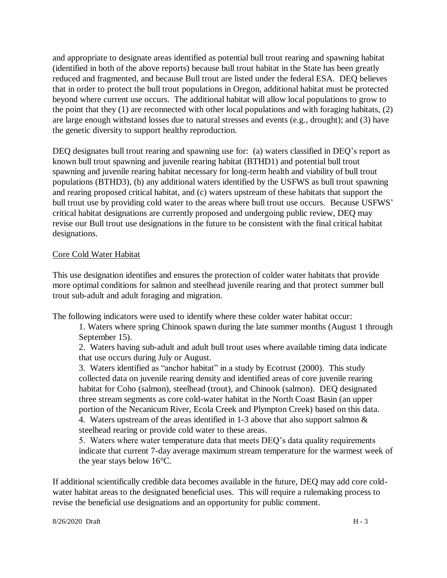and appropriate to designate areas identified as potential bull trout rearing and spawning habitat (identified in both of the above reports) because bull trout habitat in the State has been greatly reduced and fragmented, and because Bull trout are listed under the federal ESA. DEQ believes that in order to protect the bull trout populations in Oregon, additional habitat must be protected beyond where current use occurs. The additional habitat will allow local populations to grow to the point that they (1) are reconnected with other local populations and with foraging habitats, (2) are large enough withstand losses due to natural stresses and events (e.g., drought); and (3) have the genetic diversity to support healthy reproduction.

DEQ designates bull trout rearing and spawning use for: (a) waters classified in DEQ's report as known bull trout spawning and juvenile rearing habitat (BTHD1) and potential bull trout spawning and juvenile rearing habitat necessary for long-term health and viability of bull trout populations (BTHD3), (b) any additional waters identified by the USFWS as bull trout spawning and rearing proposed critical habitat, and (c) waters upstream of these habitats that support the bull trout use by providing cold water to the areas where bull trout use occurs. Because USFWS' critical habitat designations are currently proposed and undergoing public review, DEQ may revise our Bull trout use designations in the future to be consistent with the final critical habitat designations.

#### Core Cold Water Habitat

This use designation identifies and ensures the protection of colder water habitats that provide more optimal conditions for salmon and steelhead juvenile rearing and that protect summer bull trout sub-adult and adult foraging and migration.

The following indicators were used to identify where these colder water habitat occur:

1. Waters where spring Chinook spawn during the late summer months (August 1 through September 15).

2. Waters having sub-adult and adult bull trout uses where available timing data indicate that use occurs during July or August.

3. Waters identified as "anchor habitat" in a study by Ecotrust (2000). This study collected data on juvenile rearing density and identified areas of core juvenile rearing habitat for Coho (salmon), steelhead (trout), and Chinook (salmon). DEQ designated three stream segments as core cold-water habitat in the North Coast Basin (an upper portion of the Necanicum River, Ecola Creek and Plympton Creek) based on this data. 4. Waters upstream of the areas identified in 1-3 above that also support salmon & steelhead rearing or provide cold water to these areas.

5. Waters where water temperature data that meets DEQ's data quality requirements indicate that current 7-day average maximum stream temperature for the warmest week of the year stays below 16°C.

If additional scientifically credible data becomes available in the future, DEQ may add core coldwater habitat areas to the designated beneficial uses. This will require a rulemaking process to revise the beneficial use designations and an opportunity for public comment.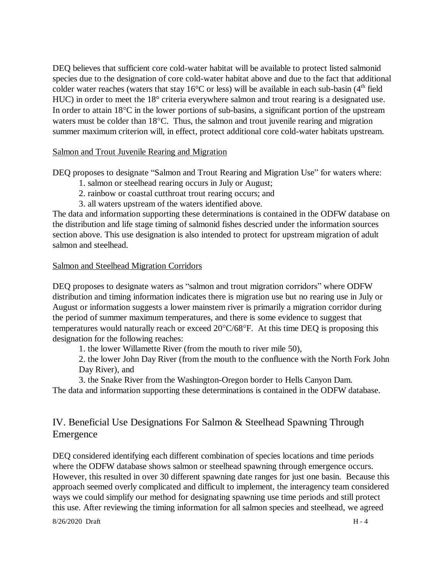DEQ believes that sufficient core cold-water habitat will be available to protect listed salmonid species due to the designation of core cold-water habitat above and due to the fact that additional colder water reaches (waters that stay  $16^{\circ}$ C or less) will be available in each sub-basin ( $4^{\text{th}}$  field HUC) in order to meet the 18° criteria everywhere salmon and trout rearing is a designated use. In order to attain  $18^{\circ}$ C in the lower portions of sub-basins, a significant portion of the upstream waters must be colder than  $18^{\circ}$ C. Thus, the salmon and trout juvenile rearing and migration summer maximum criterion will, in effect, protect additional core cold-water habitats upstream.

#### Salmon and Trout Juvenile Rearing and Migration

DEQ proposes to designate "Salmon and Trout Rearing and Migration Use" for waters where:

- 1. salmon or steelhead rearing occurs in July or August;
- 2. rainbow or coastal cutthroat trout rearing occurs; and
- 3. all waters upstream of the waters identified above.

The data and information supporting these determinations is contained in the ODFW database on the distribution and life stage timing of salmonid fishes descried under the information sources section above. This use designation is also intended to protect for upstream migration of adult salmon and steelhead.

#### Salmon and Steelhead Migration Corridors

DEQ proposes to designate waters as "salmon and trout migration corridors" where ODFW distribution and timing information indicates there is migration use but no rearing use in July or August or information suggests a lower mainstem river is primarily a migration corridor during the period of summer maximum temperatures, and there is some evidence to suggest that temperatures would naturally reach or exceed  $20^{\circ}$ C/68 $^{\circ}$ F. At this time DEQ is proposing this designation for the following reaches:

1. the lower Willamette River (from the mouth to river mile 50),

2. the lower John Day River (from the mouth to the confluence with the North Fork John Day River), and

3. the Snake River from the Washington-Oregon border to Hells Canyon Dam.

The data and information supporting these determinations is contained in the ODFW database.

### IV. Beneficial Use Designations For Salmon & Steelhead Spawning Through Emergence

DEQ considered identifying each different combination of species locations and time periods where the ODFW database shows salmon or steelhead spawning through emergence occurs. However, this resulted in over 30 different spawning date ranges for just one basin. Because this approach seemed overly complicated and difficult to implement, the interagency team considered ways we could simplify our method for designating spawning use time periods and still protect this use. After reviewing the timing information for all salmon species and steelhead, we agreed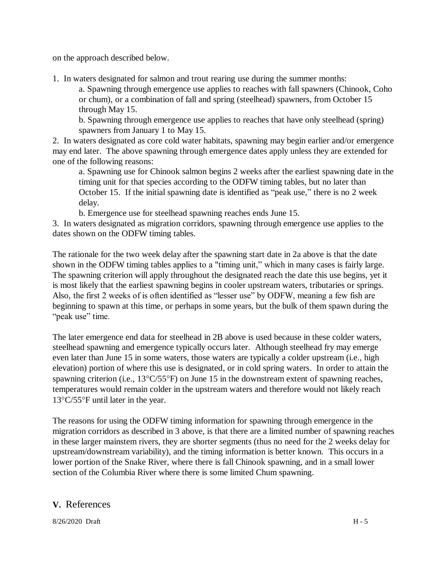on the approach described below.

1. In waters designated for salmon and trout rearing use during the summer months:

a. Spawning through emergence use applies to reaches with fall spawners (Chinook, Coho or chum), or a combination of fall and spring (steelhead) spawners, from October 15 through May 15.

b. Spawning through emergence use applies to reaches that have only steelhead (spring) spawners from January 1 to May 15.

2. In waters designated as core cold water habitats, spawning may begin earlier and/or emergence may end later. The above spawning through emergence dates apply unless they are extended for one of the following reasons:

a. Spawning use for Chinook salmon begins 2 weeks after the earliest spawning date in the timing unit for that species according to the ODFW timing tables, but no later than October 15. If the initial spawning date is identified as "peak use," there is no 2 week delay.

b. Emergence use for steelhead spawning reaches ends June 15.

3. In waters designated as migration corridors, spawning through emergence use applies to the dates shown on the ODFW timing tables.

The rationale for the two week delay after the spawning start date in 2a above is that the date shown in the ODFW timing tables applies to a "timing unit," which in many cases is fairly large. The spawning criterion will apply throughout the designated reach the date this use begins, yet it is most likely that the earliest spawning begins in cooler upstream waters, tributaries or springs. Also, the first 2 weeks of is often identified as "lesser use" by ODFW, meaning a few fish are beginning to spawn at this time, or perhaps in some years, but the bulk of them spawn during the "peak use" time.

The later emergence end data for steelhead in 2B above is used because in these colder waters, steelhead spawning and emergence typically occurs later. Although steelhead fry may emerge even later than June 15 in some waters, those waters are typically a colder upstream (i.e., high elevation) portion of where this use is designated, or in cold spring waters. In order to attain the spawning criterion (i.e.,  $13^{\circ}$ C/55°F) on June 15 in the downstream extent of spawning reaches, temperatures would remain colder in the upstream waters and therefore would not likely reach  $13^{\circ}$ C/55°F until later in the year.

The reasons for using the ODFW timing information for spawning through emergence in the migration corridors as described in 3 above, is that there are a limited number of spawning reaches in these larger mainstem rivers, they are shorter segments (thus no need for the 2 weeks delay for upstream/downstream variability), and the timing information is better known. This occurs in a lower portion of the Snake River, where there is fall Chinook spawning, and in a small lower section of the Columbia River where there is some limited Chum spawning.

### **V.** References